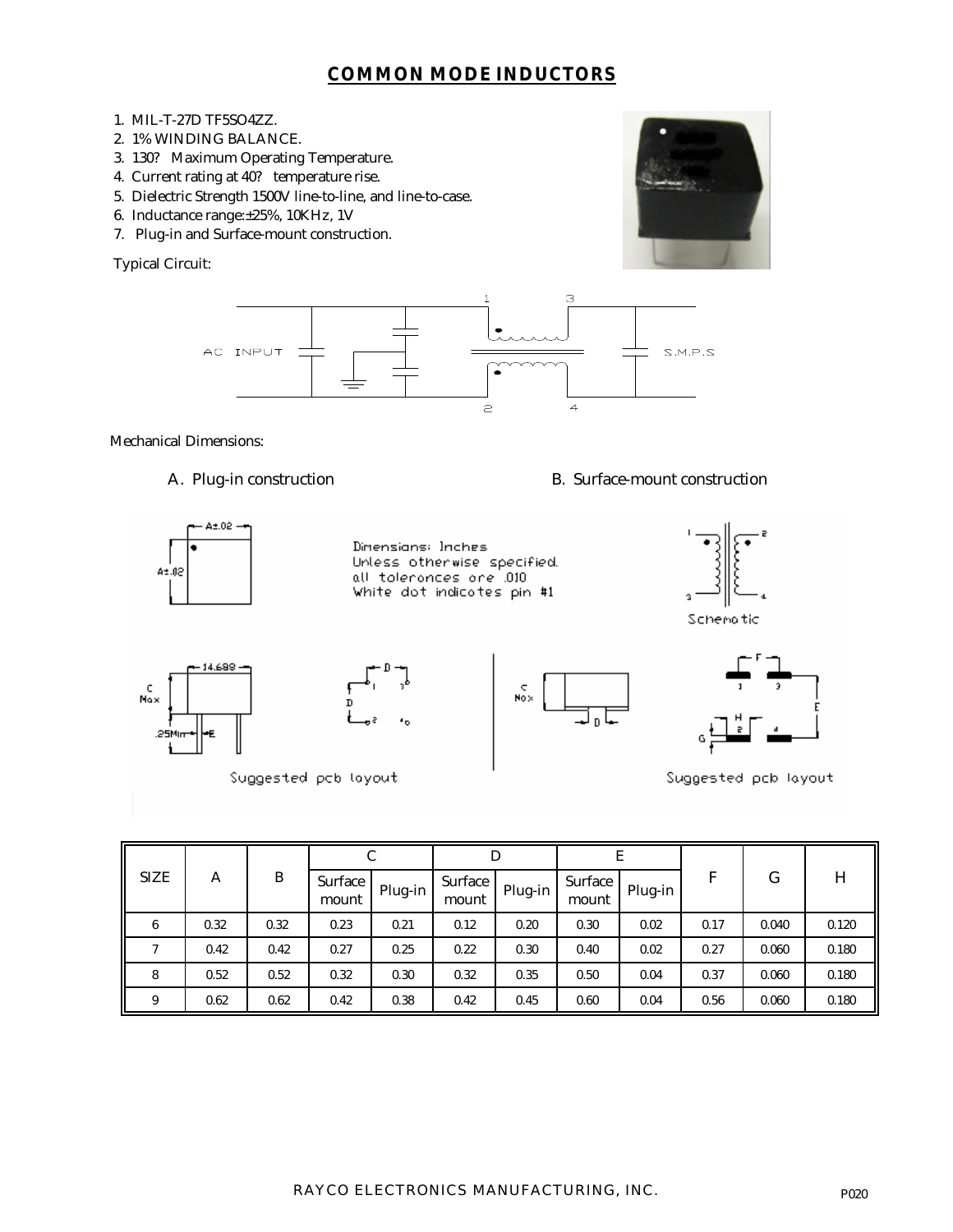## **COMMON MODE INDUCTORS**

- 1. MIL-T-27D TF5SO4ZZ.
- 2. 1% WINDING BALANCE.
- 3. 130? Maximum Operating Temperature.
- 4. Current rating at 40? temperature rise.
- 5. Dielectric Strength 1500V line-to-line, and line-to-case.
- 6. Inductance range:±25%, 10KHz, 1V
- 7. Plug-in and Surface-mount construction.

Typical Circuit:



Mechanical Dimensions:

A. Plug-in construction B. Surface-mount construction



| <b>SIZE</b>   | Α    | B    | C                |         | D                |         | E                |         |      |       |       |
|---------------|------|------|------------------|---------|------------------|---------|------------------|---------|------|-------|-------|
|               |      |      | Surface<br>mount | Plug-in | Surface<br>mount | Plug-in | Surface<br>mount | Plug-in | F    | G     | H     |
| 6             | 0.32 | 0.32 | 0.23             | 0.21    | 0.12             | 0.20    | 0.30             | 0.02    | 0.17 | 0.040 | 0.120 |
| $\mathcal{I}$ | 0.42 | 0.42 | 0.27             | 0.25    | 0.22             | 0.30    | 0.40             | 0.02    | 0.27 | 0.060 | 0.180 |
| 8             | 0.52 | 0.52 | 0.32             | 0.30    | 0.32             | 0.35    | 0.50             | 0.04    | 0.37 | 0.060 | 0.180 |
| 9             | 0.62 | 0.62 | 0.42             | 0.38    | 0.42             | 0.45    | 0.60             | 0.04    | 0.56 | 0.060 | 0.180 |